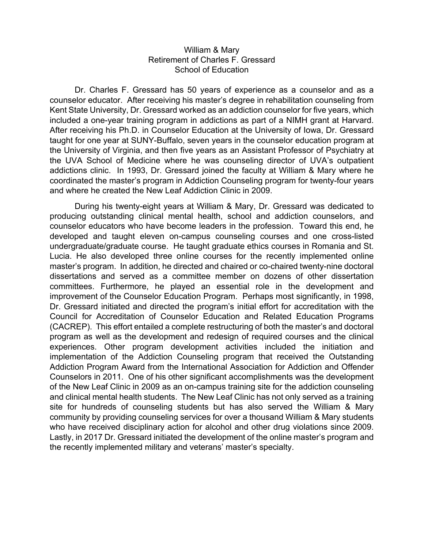## William & Mary Retirement of Charles F. Gressard School of Education

Dr. Charles F. Gressard has 50 years of experience as a counselor and as a counselor educator. After receiving his master's degree in rehabilitation counseling from Kent State University, Dr. Gressard worked as an addiction counselor for five years, which included a one-year training program in addictions as part of a NIMH grant at Harvard. After receiving his Ph.D. in Counselor Education at the University of Iowa, Dr. Gressard taught for one year at SUNY-Buffalo, seven years in the counselor education program at the University of Virginia, and then five years as an Assistant Professor of Psychiatry at the UVA School of Medicine where he was counseling director of UVA's outpatient addictions clinic. In 1993, Dr. Gressard joined the faculty at William & Mary where he coordinated the master's program in Addiction Counseling program for twenty-four years and where he created the New Leaf Addiction Clinic in 2009.

During his twenty-eight years at William & Mary, Dr. Gressard was dedicated to producing outstanding clinical mental health, school and addiction counselors, and counselor educators who have become leaders in the profession. Toward this end, he developed and taught eleven on-campus counseling courses and one cross-listed undergraduate/graduate course. He taught graduate ethics courses in Romania and St. Lucia. He also developed three online courses for the recently implemented online master's program. In addition, he directed and chaired or co-chaired twenty-nine doctoral dissertations and served as a committee member on dozens of other dissertation committees. Furthermore, he played an essential role in the development and improvement of the Counselor Education Program. Perhaps most significantly, in 1998, Dr. Gressard initiated and directed the program's initial effort for accreditation with the Council for Accreditation of Counselor Education and Related Education Programs (CACREP). This effort entailed a complete restructuring of both the master's and doctoral program as well as the development and redesign of required courses and the clinical experiences. Other program development activities included the initiation and implementation of the Addiction Counseling program that received the Outstanding Addiction Program Award from the International Association for Addiction and Offender Counselors in 2011. One of his other significant accomplishments was the development of the New Leaf Clinic in 2009 as an on-campus training site for the addiction counseling and clinical mental health students. The New Leaf Clinic has not only served as a training site for hundreds of counseling students but has also served the William & Mary community by providing counseling services for over a thousand William & Mary students who have received disciplinary action for alcohol and other drug violations since 2009. Lastly, in 2017 Dr. Gressard initiated the development of the online master's program and the recently implemented military and veterans' master's specialty.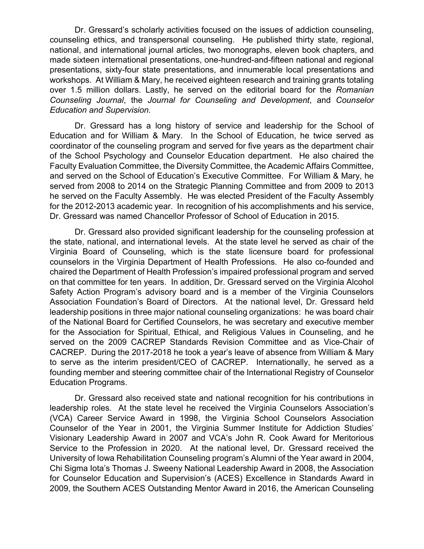Dr. Gressard's scholarly activities focused on the issues of addiction counseling, counseling ethics, and transpersonal counseling. He published thirty state, regional, national, and international journal articles, two monographs, eleven book chapters, and made sixteen international presentations, one-hundred-and-fifteen national and regional presentations, sixty-four state presentations, and innumerable local presentations and workshops. At William & Mary, he received eighteen research and training grants totaling over 1.5 million dollars. Lastly, he served on the editorial board for the *Romanian Counseling Journal*, the *Journal for Counseling and Development*, and *Counselor Education and Supervision.*

Dr. Gressard has a long history of service and leadership for the School of Education and for William & Mary. In the School of Education, he twice served as coordinator of the counseling program and served for five years as the department chair of the School Psychology and Counselor Education department. He also chaired the Faculty Evaluation Committee, the Diversity Committee, the Academic Affairs Committee, and served on the School of Education's Executive Committee. For William & Mary, he served from 2008 to 2014 on the Strategic Planning Committee and from 2009 to 2013 he served on the Faculty Assembly. He was elected President of the Faculty Assembly for the 2012-2013 academic year. In recognition of his accomplishments and his service, Dr. Gressard was named Chancellor Professor of School of Education in 2015.

Dr. Gressard also provided significant leadership for the counseling profession at the state, national, and international levels. At the state level he served as chair of the Virginia Board of Counseling, which is the state licensure board for professional counselors in the Virginia Department of Health Professions. He also co-founded and chaired the Department of Health Profession's impaired professional program and served on that committee for ten years. In addition, Dr. Gressard served on the Virginia Alcohol Safety Action Program's advisory board and is a member of the Virginia Counselors Association Foundation's Board of Directors. At the national level, Dr. Gressard held leadership positions in three major national counseling organizations: he was board chair of the National Board for Certified Counselors, he was secretary and executive member for the Association for Spiritual, Ethical, and Religious Values in Counseling, and he served on the 2009 CACREP Standards Revision Committee and as Vice-Chair of CACREP. During the 2017-2018 he took a year's leave of absence from William & Mary to serve as the interim president/CEO of CACREP. Internationally, he served as a founding member and steering committee chair of the International Registry of Counselor Education Programs.

Dr. Gressard also received state and national recognition for his contributions in leadership roles. At the state level he received the Virginia Counselors Association's (VCA) Career Service Award in 1998, the Virginia School Counselors Association Counselor of the Year in 2001, the Virginia Summer Institute for Addiction Studies' Visionary Leadership Award in 2007 and VCA's John R. Cook Award for Meritorious Service to the Profession in 2020. At the national level, Dr. Gressard received the University of Iowa Rehabilitation Counseling program's Alumni of the Year award in 2004, Chi Sigma Iota's Thomas J. Sweeny National Leadership Award in 2008, the Association for Counselor Education and Supervision's (ACES) Excellence in Standards Award in 2009, the Southern ACES Outstanding Mentor Award in 2016, the American Counseling